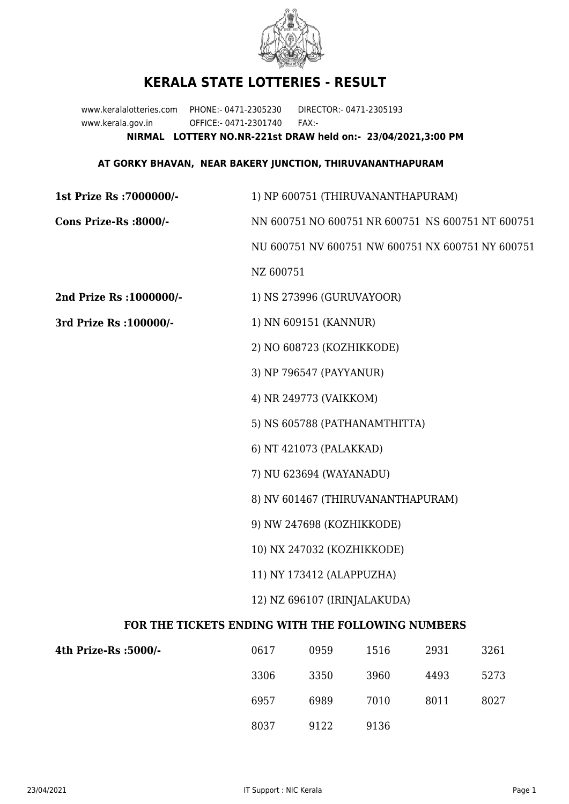

## **KERALA STATE LOTTERIES - RESULT**

www.keralalotteries.com PHONE:- 0471-2305230 DIRECTOR:- 0471-2305193 www.kerala.gov.in OFFICE:- 0471-2301740 FAX:- **NIRMAL LOTTERY NO.NR-221st DRAW held on:- 23/04/2021,3:00 PM**

## **AT GORKY BHAVAN, NEAR BAKERY JUNCTION, THIRUVANANTHAPURAM**

| 1st Prize Rs : 7000000/-                          | 1) NP 600751 (THIRUVANANTHAPURAM)                                                                                                                                                   |                           |      |      |                                                   |  |
|---------------------------------------------------|-------------------------------------------------------------------------------------------------------------------------------------------------------------------------------------|---------------------------|------|------|---------------------------------------------------|--|
| Cons Prize-Rs :8000/-                             |                                                                                                                                                                                     |                           |      |      | NN 600751 NO 600751 NR 600751 NS 600751 NT 600751 |  |
|                                                   | NU 600751 NV 600751 NW 600751 NX 600751 NY 600751                                                                                                                                   |                           |      |      |                                                   |  |
|                                                   | NZ 600751                                                                                                                                                                           |                           |      |      |                                                   |  |
| 2nd Prize Rs : 1000000/-                          |                                                                                                                                                                                     | 1) NS 273996 (GURUVAYOOR) |      |      |                                                   |  |
| 3rd Prize Rs : 100000/-                           | 1) NN 609151 (KANNUR)                                                                                                                                                               |                           |      |      |                                                   |  |
|                                                   | 2) NO 608723 (KOZHIKKODE)                                                                                                                                                           |                           |      |      |                                                   |  |
|                                                   | 3) NP 796547 (PAYYANUR)                                                                                                                                                             |                           |      |      |                                                   |  |
|                                                   | 4) NR 249773 (VAIKKOM)                                                                                                                                                              |                           |      |      |                                                   |  |
|                                                   | 5) NS 605788 (PATHANAMTHITTA)<br>6) NT 421073 (PALAKKAD)<br>7) NU 623694 (WAYANADU)<br>8) NV 601467 (THIRUVANANTHAPURAM)<br>9) NW 247698 (KOZHIKKODE)<br>10) NX 247032 (KOZHIKKODE) |                           |      |      |                                                   |  |
|                                                   |                                                                                                                                                                                     |                           |      |      |                                                   |  |
|                                                   |                                                                                                                                                                                     |                           |      |      |                                                   |  |
|                                                   |                                                                                                                                                                                     |                           |      |      |                                                   |  |
|                                                   |                                                                                                                                                                                     |                           |      |      |                                                   |  |
|                                                   |                                                                                                                                                                                     |                           |      |      |                                                   |  |
|                                                   | 11) NY 173412 (ALAPPUZHA)                                                                                                                                                           |                           |      |      |                                                   |  |
|                                                   | 12) NZ 696107 (IRINJALAKUDA)                                                                                                                                                        |                           |      |      |                                                   |  |
| FOR THE TICKETS ENDING WITH THE FOLLOWING NUMBERS |                                                                                                                                                                                     |                           |      |      |                                                   |  |
| 4th Prize-Rs :5000/-                              | 0617                                                                                                                                                                                | 0959                      | 1516 | 2931 | 3261                                              |  |
|                                                   | 3306                                                                                                                                                                                | 3350                      | 3960 | 4493 | 5273                                              |  |

8037 9122 9136

6957 6989 7010 8011 8027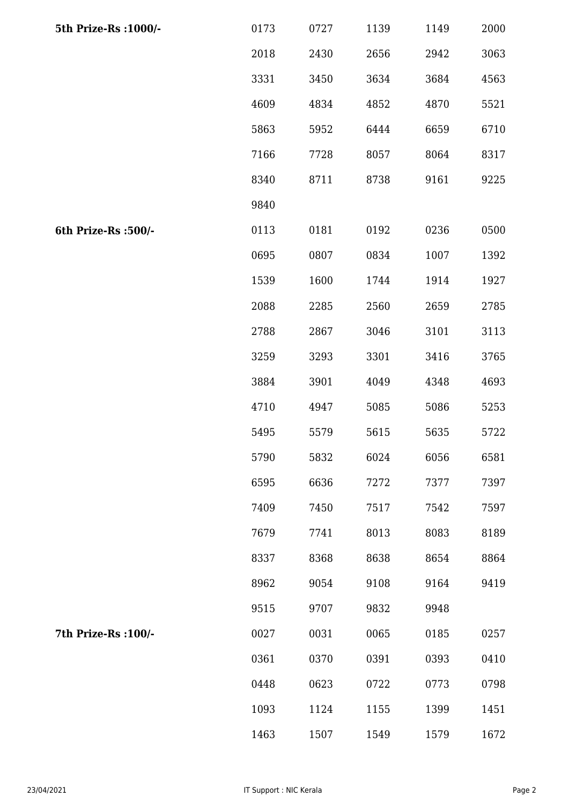| 5th Prize-Rs : 1000/- | 0173 | 0727 | 1139 | 1149 | 2000 |
|-----------------------|------|------|------|------|------|
|                       | 2018 | 2430 | 2656 | 2942 | 3063 |
|                       | 3331 | 3450 | 3634 | 3684 | 4563 |
|                       | 4609 | 4834 | 4852 | 4870 | 5521 |
|                       | 5863 | 5952 | 6444 | 6659 | 6710 |
|                       | 7166 | 7728 | 8057 | 8064 | 8317 |
|                       | 8340 | 8711 | 8738 | 9161 | 9225 |
|                       | 9840 |      |      |      |      |
| 6th Prize-Rs :500/-   | 0113 | 0181 | 0192 | 0236 | 0500 |
|                       | 0695 | 0807 | 0834 | 1007 | 1392 |
|                       | 1539 | 1600 | 1744 | 1914 | 1927 |
|                       | 2088 | 2285 | 2560 | 2659 | 2785 |
|                       | 2788 | 2867 | 3046 | 3101 | 3113 |
|                       | 3259 | 3293 | 3301 | 3416 | 3765 |
|                       | 3884 | 3901 | 4049 | 4348 | 4693 |
|                       | 4710 | 4947 | 5085 | 5086 | 5253 |
|                       | 5495 | 5579 | 5615 | 5635 | 5722 |
|                       | 5790 | 5832 | 6024 | 6056 | 6581 |
|                       | 6595 | 6636 | 7272 | 7377 | 7397 |
|                       | 7409 | 7450 | 7517 | 7542 | 7597 |
|                       | 7679 | 7741 | 8013 | 8083 | 8189 |
|                       | 8337 | 8368 | 8638 | 8654 | 8864 |
|                       | 8962 | 9054 | 9108 | 9164 | 9419 |
|                       | 9515 | 9707 | 9832 | 9948 |      |
| 7th Prize-Rs : 100/-  | 0027 | 0031 | 0065 | 0185 | 0257 |
|                       | 0361 | 0370 | 0391 | 0393 | 0410 |
|                       | 0448 | 0623 | 0722 | 0773 | 0798 |
|                       | 1093 | 1124 | 1155 | 1399 | 1451 |
|                       | 1463 | 1507 | 1549 | 1579 | 1672 |